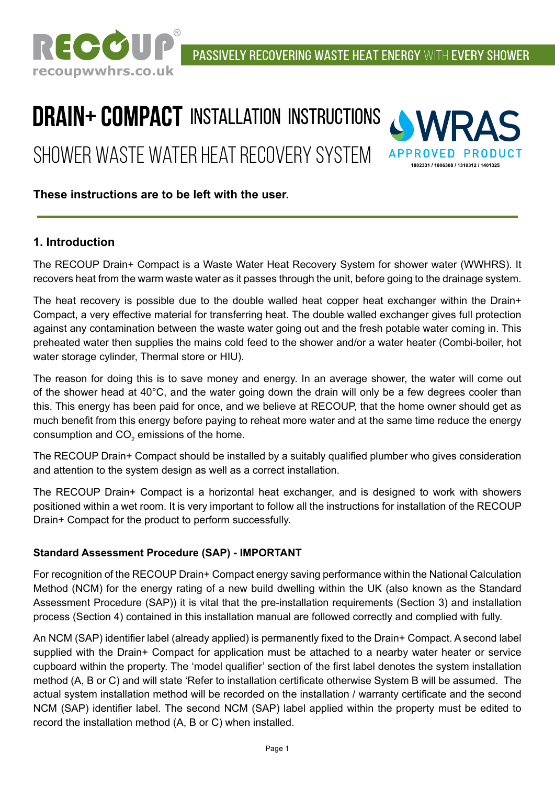

# **DRAIN+ COMPACT INSTALLATION INSTRUCTIONS** Shower Waste Water Heat Recovery System



# **These instructions are to be left with the user.**

# **1. Introduction**

The RECOUP Drain+ Compact is a Waste Water Heat Recovery System for shower water (WWHRS). It recovers heat from the warm waste water as it passes through the unit, before going to the drainage system.

The heat recovery is possible due to the double walled heat copper heat exchanger within the Drain+ Compact, a very effective material for transferring heat. The double walled exchanger gives full protection against any contamination between the waste water going out and the fresh potable water coming in. This preheated water then supplies the mains cold feed to the shower and/or a water heater (Combi-boiler, hot water storage cylinder, Thermal store or HIU).

The reason for doing this is to save money and energy. In an average shower, the water will come out of the shower head at 40°C, and the water going down the drain will only be a few degrees cooler than this. This energy has been paid for once, and we believe at RECOUP, that the home owner should get as much benefit from this energy before paying to reheat more water and at the same time reduce the energy consumption and CO $_{\rm 2}$  emissions of the home.

The RECOUP Drain+ Compact should be installed by a suitably qualified plumber who gives consideration and attention to the system design as well as a correct installation.

The RECOUP Drain+ Compact is a horizontal heat exchanger, and is designed to work with showers positioned within a wet room. It is very important to follow all the instructions for installation of the RECOUP Drain+ Compact for the product to perform successfully.

#### **Standard Assessment Procedure (SAP) - IMPORTANT**

For recognition of the RECOUP Drain+ Compact energy saving performance within the National Calculation Method (NCM) for the energy rating of a new build dwelling within the UK (also known as the Standard Assessment Procedure (SAP)) it is vital that the pre-installation requirements (Section 3) and installation process (Section 4) contained in this installation manual are followed correctly and complied with fully.

An NCM (SAP) identifier label (already applied) is permanently fixed to the Drain+ Compact. A second label supplied with the Drain+ Compact for application must be attached to a nearby water heater or service cupboard within the property. The 'model qualifier' section of the first label denotes the system installation method (A, B or C) and will state 'Refer to installation certificate otherwise System B will be assumed. The actual system installation method will be recorded on the installation / warranty certificate and the second NCM (SAP) identifier label. The second NCM (SAP) label applied within the property must be edited to record the installation method (A, B or C) when installed.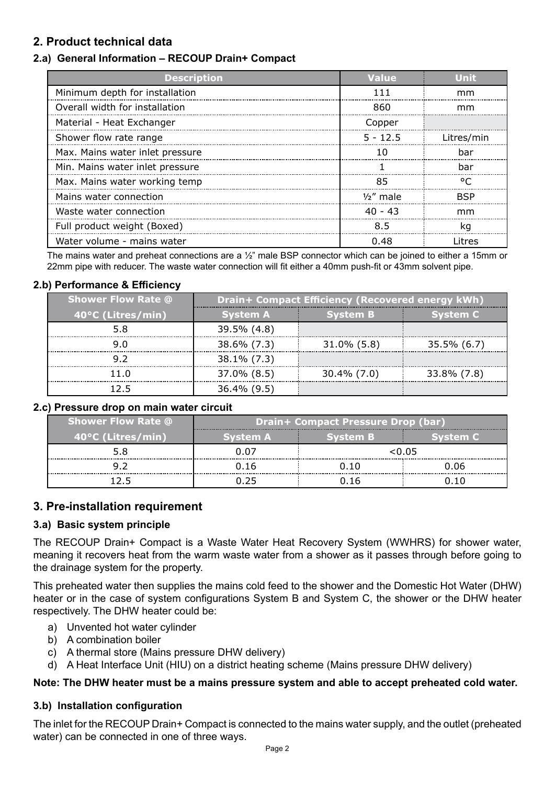# **2. Product technical data**

# **2.a) General Information – RECOUP Drain+ Compact**

| <b>Description</b>              | Value        | Unit       |
|---------------------------------|--------------|------------|
| Minimum depth for installation  | 111          | mm         |
| Overall width for installation  | 860          | mm         |
| Material - Heat Exchanger       | Copper       |            |
| Shower flow rate range          | $5 - 12.5$   | Litres/min |
| Max. Mains water inlet pressure | 10           | bar        |
| Min. Mains water inlet pressure |              | bar        |
| Max. Mains water working temp   | 85           | ∘∩         |
| Mains water connection          | $1/2$ " male | <b>BSP</b> |
| Waste water connection          | $40 - 43$    | mm         |
| Full product weight (Boxed)     | 8.5          |            |
| Water volume - mains water      | 0.48         | l itres    |

The mains water and preheat connections are a ½" male BSP connector which can be joined to either a 15mm or 22mm pipe with reducer. The waste water connection will fit either a 40mm push-fit or 43mm solvent pipe.

#### **2.b) Performance & Efficiency**

| <b>Shower Flow Rate @</b> | Drain+ Compact Efficiency (Recovered energy kWh) |                 |             |
|---------------------------|--------------------------------------------------|-----------------|-------------|
| 40°C (Litres/min)         | <b>System A</b>                                  | <b>System B</b> | Svstem C    |
|                           | 39.5% (4.8)                                      |                 |             |
|                           | 38.6% (7.3)                                      | $31.0\%$ (5.8)  | 35.5% (6.7) |
|                           | 38.1% (7.3)                                      |                 |             |
|                           | 37.0% (8.5)                                      | 30.4% (7.0)     | 33.8% (7.8) |
|                           | 36.4% (9.5                                       |                 |             |

#### **2.c) Pressure drop on main water circuit**

| <b>Shower Flow Rate @</b> | <b>Drain+ Compact Pressure Drop (bar)</b> |          |         |  |
|---------------------------|-------------------------------------------|----------|---------|--|
| 40°C (Litres/min)         | ivstem A                                  | ivstem B | vstem C |  |
|                           |                                           | <0.05    |         |  |
|                           | า 16                                      |          | 0.O6    |  |
|                           |                                           |          |         |  |

#### **3. Pre-installation requirement**

#### **3.a) Basic system principle**

The RECOUP Drain+ Compact is a Waste Water Heat Recovery System (WWHRS) for shower water, meaning it recovers heat from the warm waste water from a shower as it passes through before going to the drainage system for the property.

This preheated water then supplies the mains cold feed to the shower and the Domestic Hot Water (DHW) heater or in the case of system configurations System B and System C, the shower or the DHW heater respectively. The DHW heater could be:

- a) Unvented hot water cylinder
- b) A combination boiler
- c) A thermal store (Mains pressure DHW delivery)
- d) A Heat Interface Unit (HIU) on a district heating scheme (Mains pressure DHW delivery)

#### **Note: The DHW heater must be a mains pressure system and able to accept preheated cold water.**

#### **3.b) Installation configuration**

The inlet for the RECOUP Drain+ Compact is connected to the mains water supply, and the outlet (preheated water) can be connected in one of three ways.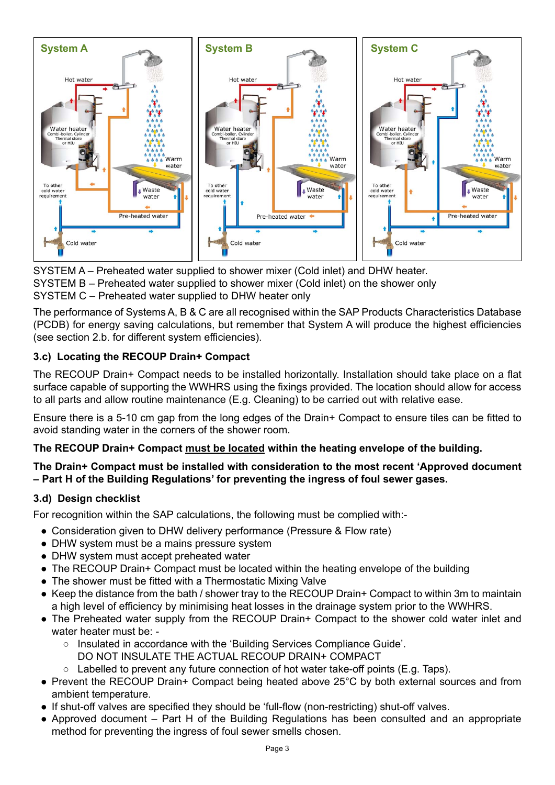

SYSTEM A – Preheated water supplied to shower mixer (Cold inlet) and DHW heater. SYSTEM B – Preheated water supplied to shower mixer (Cold inlet) on the shower only SYSTEM C – Preheated water supplied to DHW heater only

The performance of Systems A, B & C are all recognised within the SAP Products Characteristics Database (PCDB) for energy saving calculations, but remember that System A will produce the highest efficiencies (see section 2.b. for different system efficiencies).

# **3.c) Locating the RECOUP Drain+ Compact**

The RECOUP Drain+ Compact needs to be installed horizontally. Installation should take place on a flat surface capable of supporting the WWHRS using the fixings provided. The location should allow for access to all parts and allow routine maintenance (E.g. Cleaning) to be carried out with relative ease.

Ensure there is a 5-10 cm gap from the long edges of the Drain+ Compact to ensure tiles can be fitted to avoid standing water in the corners of the shower room.

# **The RECOUP Drain+ Compact must be located within the heating envelope of the building.**

## **The Drain+ Compact must be installed with consideration to the most recent 'Approved document – Part H of the Building Regulations' for preventing the ingress of foul sewer gases.**

# **3.d) Design checklist**

For recognition within the SAP calculations, the following must be complied with:-

- Consideration given to DHW delivery performance (Pressure & Flow rate)
- DHW system must be a mains pressure system
- DHW system must accept preheated water
- The RECOUP Drain+ Compact must be located within the heating envelope of the building
- The shower must be fitted with a Thermostatic Mixing Valve
- Keep the distance from the bath / shower tray to the RECOUP Drain+ Compact to within 3m to maintain a high level of efficiency by minimising heat losses in the drainage system prior to the WWHRS.
- The Preheated water supply from the RECOUP Drain+ Compact to the shower cold water inlet and water heater must be: -
	- Insulated in accordance with the 'Building Services Compliance Guide'.
		- DO NOT INSULATE THE ACTUAL RECOUP DRAIN+ COMPACT
	- $\circ$  Labelled to prevent any future connection of hot water take-off points (E.g. Taps).
- Prevent the RECOUP Drain+ Compact being heated above 25°C by both external sources and from ambient temperature.
- If shut-off valves are specified they should be 'full-flow (non-restricting) shut-off valves.
- Approved document Part H of the Building Regulations has been consulted and an appropriate method for preventing the ingress of foul sewer smells chosen.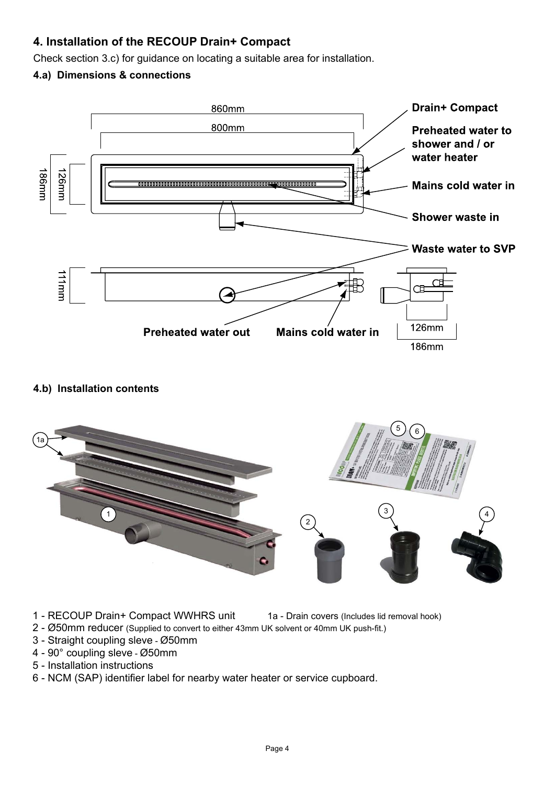# **4. Installation of the RECOUP Drain+ Compact**

Check section 3.c) for guidance on locating a suitable area for installation.

## **4.a) Dimensions & connections**



### **4.b) Installation contents**



- 1 RECOUP Drain+ Compact WWHRS unit 1a Drain covers (Includes lid removal hook)
	-
- 2 Ø50mm reducer (Supplied to convert to either 43mm UK solvent or 40mm UK push-fit.)
- 3 Straight coupling sleve Ø50mm
- 4 90° coupling sleve Ø50mm
- 5 Installation instructions
- 6 NCM (SAP) identifier label for nearby water heater or service cupboard.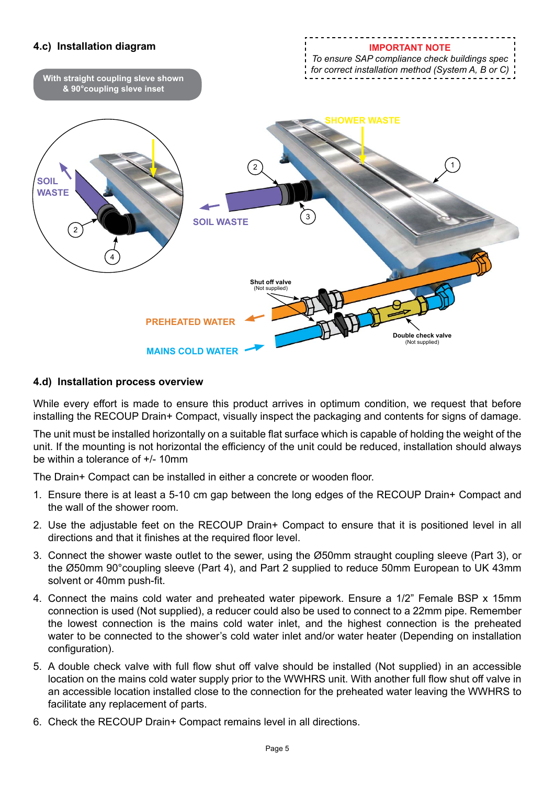

#### **4.d) Installation process overview**

While every effort is made to ensure this product arrives in optimum condition, we request that before installing the RECOUP Drain+ Compact, visually inspect the packaging and contents for signs of damage.

The unit must be installed horizontally on a suitable flat surface which is capable of holding the weight of the unit. If the mounting is not horizontal the efficiency of the unit could be reduced, installation should always be within a tolerance of +/- 10mm

The Drain+ Compact can be installed in either a concrete or wooden floor.

- 1. Ensure there is at least a 5-10 cm gap between the long edges of the RECOUP Drain+ Compact and the wall of the shower room.
- 2. Use the adjustable feet on the RECOUP Drain+ Compact to ensure that it is positioned level in all directions and that it finishes at the required floor level.
- 3. Connect the shower waste outlet to the sewer, using the Ø50mm straught coupling sleeve (Part 3), or the Ø50mm 90°coupling sleeve (Part 4), and Part 2 supplied to reduce 50mm European to UK 43mm solvent or 40mm push-fit.
- 4. Connect the mains cold water and preheated water pipework. Ensure a 1/2" Female BSP x 15mm connection is used (Not supplied), a reducer could also be used to connect to a 22mm pipe. Remember the lowest connection is the mains cold water inlet, and the highest connection is the preheated water to be connected to the shower's cold water inlet and/or water heater (Depending on installation configuration).
- 5. A double check valve with full flow shut off valve should be installed (Not supplied) in an accessible location on the mains cold water supply prior to the WWHRS unit. With another full flow shut off valve in an accessible location installed close to the connection for the preheated water leaving the WWHRS to facilitate any replacement of parts.
- 6. Check the RECOUP Drain+ Compact remains level in all directions.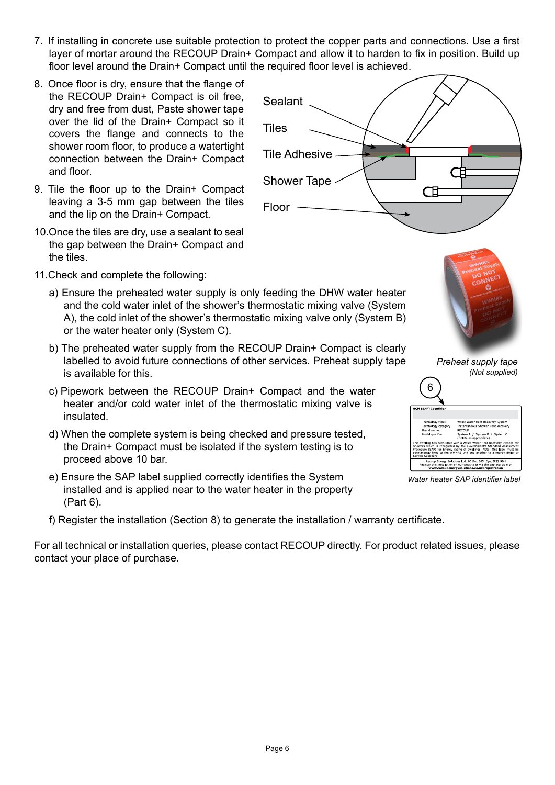- 7. If installing in concrete use suitable protection to protect the copper parts and connections. Use a first layer of mortar around the RECOUP Drain+ Compact and allow it to harden to fix in position. Build up floor level around the Drain+ Compact until the required floor level is achieved.
- 8. Once floor is dry, ensure that the flange of the RECOUP Drain+ Compact is oil free, dry and free from dust, Paste shower tape over the lid of the Drain+ Compact so it covers the flange and connects to the shower room floor, to produce a watertight connection between the Drain+ Compact and floor.
- 9. Tile the floor up to the Drain+ Compact leaving a 3-5 mm gap between the tiles and the lip on the Drain+ Compact.
- 10.Once the tiles are dry, use a sealant to seal the gap between the Drain+ Compact and the tiles.
- 11.Check and complete the following:
	- a) Ensure the preheated water supply is only feeding the DHW water heater and the cold water inlet of the shower's thermostatic mixing valve (System A), the cold inlet of the shower's thermostatic mixing valve only (System B) or the water heater only (System C).
	- b) The preheated water supply from the RECOUP Drain+ Compact is clearly labelled to avoid future connections of other services. Preheat supply tape is available for this.
	- c) Pipework between the RECOUP Drain+ Compact and the water heater and/or cold water inlet of the thermostatic mixing valve is insulated.
	- d) When the complete system is being checked and pressure tested, the Drain+ Compact must be isolated if the system testing is to proceed above 10 bar.
	- e) Ensure the SAP label supplied correctly identifies the System installed and is applied near to the water heater in the property (Part 6).
	- f) Register the installation (Section 8) to generate the installation / warranty certificate.

For all technical or installation queries, please contact RECOUP directly. For product related issues, please contact your place of purchase.

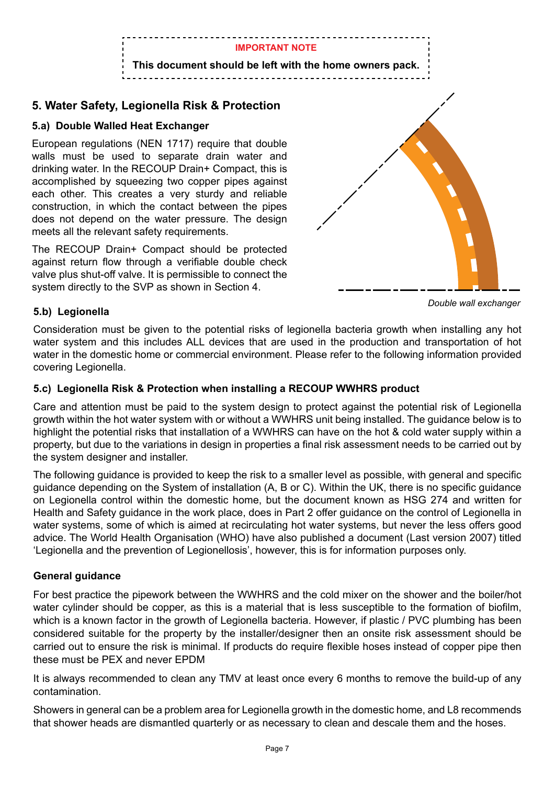

# **5. Water Safety, Legionella Risk & Protection**

# **5.a) Double Walled Heat Exchanger**

European regulations (NEN 1717) require that double walls must be used to separate drain water and drinking water. In the RECOUP Drain+ Compact, this is accomplished by squeezing two copper pipes against each other. This creates a very sturdy and reliable construction, in which the contact between the pipes does not depend on the water pressure. The design meets all the relevant safety requirements.

The RECOUP Drain+ Compact should be protected against return flow through a verifiable double check valve plus shut-off valve. It is permissible to connect the system directly to the SVP as shown in Section 4.



*Double wall exchanger*

# **5.b) Legionella**

Consideration must be given to the potential risks of legionella bacteria growth when installing any hot water system and this includes ALL devices that are used in the production and transportation of hot water in the domestic home or commercial environment. Please refer to the following information provided covering Legionella.

## **5.c) Legionella Risk & Protection when installing a RECOUP WWHRS product**

Care and attention must be paid to the system design to protect against the potential risk of Legionella growth within the hot water system with or without a WWHRS unit being installed. The guidance below is to highlight the potential risks that installation of a WWHRS can have on the hot & cold water supply within a property, but due to the variations in design in properties a final risk assessment needs to be carried out by the system designer and installer.

The following guidance is provided to keep the risk to a smaller level as possible, with general and specific guidance depending on the System of installation (A, B or C). Within the UK, there is no specific guidance on Legionella control within the domestic home, but the document known as HSG 274 and written for Health and Safety guidance in the work place, does in Part 2 offer guidance on the control of Legionella in water systems, some of which is aimed at recirculating hot water systems, but never the less offers good advice. The World Health Organisation (WHO) have also published a document (Last version 2007) titled 'Legionella and the prevention of Legionellosis', however, this is for information purposes only.

# **General guidance**

For best practice the pipework between the WWHRS and the cold mixer on the shower and the boiler/hot water cylinder should be copper, as this is a material that is less susceptible to the formation of biofilm, which is a known factor in the growth of Legionella bacteria. However, if plastic / PVC plumbing has been considered suitable for the property by the installer/designer then an onsite risk assessment should be carried out to ensure the risk is minimal. If products do require flexible hoses instead of copper pipe then these must be PEX and never EPDM

It is always recommended to clean any TMV at least once every 6 months to remove the build-up of any contamination.

Showers in general can be a problem area for Legionella growth in the domestic home, and L8 recommends that shower heads are dismantled quarterly or as necessary to clean and descale them and the hoses.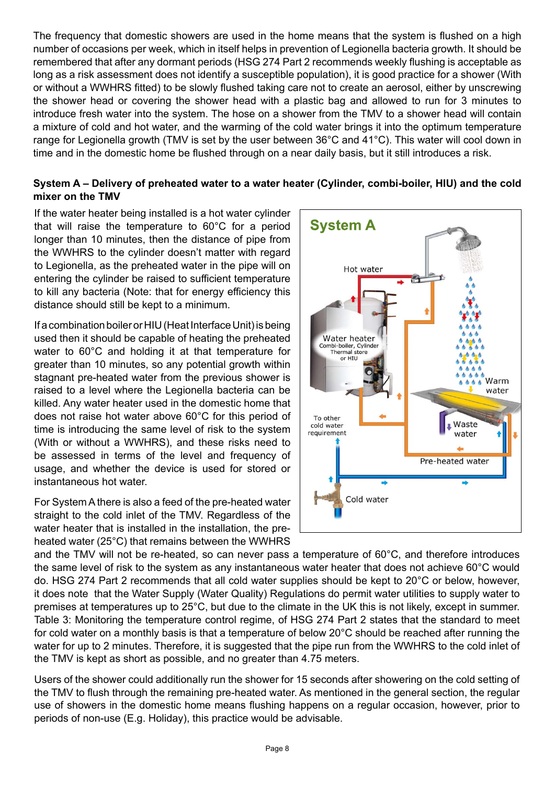The frequency that domestic showers are used in the home means that the system is flushed on a high number of occasions per week, which in itself helps in prevention of Legionella bacteria growth. It should be remembered that after any dormant periods (HSG 274 Part 2 recommends weekly flushing is acceptable as long as a risk assessment does not identify a susceptible population), it is good practice for a shower (With or without a WWHRS fitted) to be slowly flushed taking care not to create an aerosol, either by unscrewing the shower head or covering the shower head with a plastic bag and allowed to run for 3 minutes to introduce fresh water into the system. The hose on a shower from the TMV to a shower head will contain a mixture of cold and hot water, and the warming of the cold water brings it into the optimum temperature range for Legionella growth (TMV is set by the user between 36°C and 41°C). This water will cool down in time and in the domestic home be flushed through on a near daily basis, but it still introduces a risk.

#### **System A – Delivery of preheated water to a water heater (Cylinder, combi-boiler, HIU) and the cold mixer on the TMV**

If the water heater being installed is a hot water cylinder that will raise the temperature to 60°C for a period longer than 10 minutes, then the distance of pipe from the WWHRS to the cylinder doesn't matter with regard to Legionella, as the preheated water in the pipe will on entering the cylinder be raised to sufficient temperature to kill any bacteria (Note: that for energy efficiency this distance should still be kept to a minimum.

If a combination boiler or HIU (Heat Interface Unit) is being used then it should be capable of heating the preheated water to 60°C and holding it at that temperature for greater than 10 minutes, so any potential growth within stagnant pre-heated water from the previous shower is raised to a level where the Legionella bacteria can be killed. Any water heater used in the domestic home that does not raise hot water above 60°C for this period of time is introducing the same level of risk to the system (With or without a WWHRS), and these risks need to be assessed in terms of the level and frequency of usage, and whether the device is used for stored or instantaneous hot water.

For System A there is also a feed of the pre-heated water straight to the cold inlet of the TMV. Regardless of the water heater that is installed in the installation, the preheated water (25°C) that remains between the WWHRS



and the TMV will not be re-heated, so can never pass a temperature of 60°C, and therefore introduces the same level of risk to the system as any instantaneous water heater that does not achieve 60°C would do. HSG 274 Part 2 recommends that all cold water supplies should be kept to 20°C or below, however, it does note that the Water Supply (Water Quality) Regulations do permit water utilities to supply water to premises at temperatures up to 25°C, but due to the climate in the UK this is not likely, except in summer. Table 3: Monitoring the temperature control regime, of HSG 274 Part 2 states that the standard to meet for cold water on a monthly basis is that a temperature of below 20°C should be reached after running the water for up to 2 minutes. Therefore, it is suggested that the pipe run from the WWHRS to the cold inlet of the TMV is kept as short as possible, and no greater than 4.75 meters.

Users of the shower could additionally run the shower for 15 seconds after showering on the cold setting of the TMV to flush through the remaining pre-heated water. As mentioned in the general section, the regular use of showers in the domestic home means flushing happens on a regular occasion, however, prior to periods of non-use (E.g. Holiday), this practice would be advisable.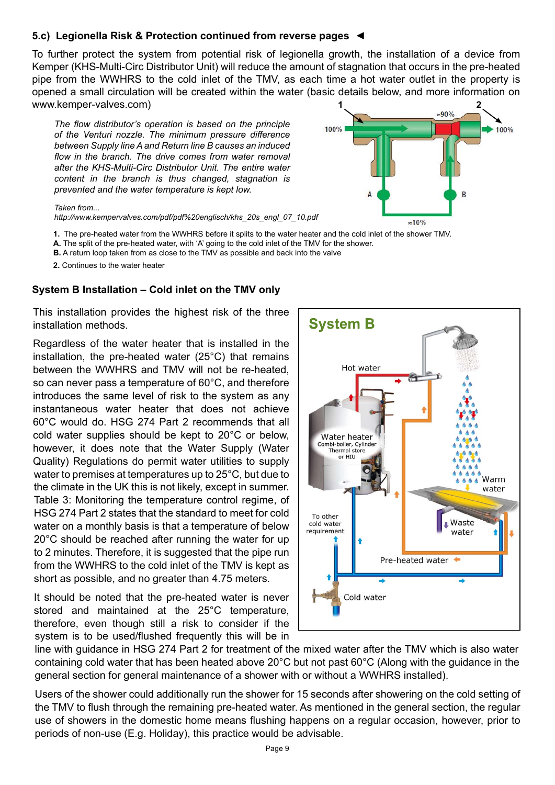#### **5.c) Legionella Risk & Protection continued from reverse pages ◄**

To further protect the system from potential risk of legionella growth, the installation of a device from Kemper (KHS-Multi-Circ Distributor Unit) will reduce the amount of stagnation that occurs in the pre-heated pipe from the WWHRS to the cold inlet of the TMV, as each time a hot water outlet in the property is opened a small circulation will be created within the water (basic details below, and more information on www.kemper-valves.com)

*The flow distributor's operation is based on the principle of the Venturi nozzle. The minimum pressure difference between Supply line A and Return line B causes an induced flow in the branch. The drive comes from water removal after the KHS-Multi-Circ Distributor Unit. The entire water content in the branch is thus changed, stagnation is prevented and the water temperature is kept low.*



#### *Taken from...*

*http://www.kempervalves.com/pdf/pdf%20englisch/khs\_20s\_engl\_07\_10.pdf*

- **1.** The pre-heated water from the WWHRS before it splits to the water heater and the cold inlet of the shower TMV.
- **A.** The split of the pre-heated water, with 'A' going to the cold inlet of the TMV for the shower.
- **B.** A return loop taken from as close to the TMV as possible and back into the valve
- **2.** Continues to the water heater

#### **System B Installation – Cold inlet on the TMV only**

This installation provides the highest risk of the three installation methods.

Regardless of the water heater that is installed in the installation, the pre-heated water (25°C) that remains between the WWHRS and TMV will not be re-heated, so can never pass a temperature of 60°C, and therefore introduces the same level of risk to the system as any instantaneous water heater that does not achieve 60°C would do. HSG 274 Part 2 recommends that all cold water supplies should be kept to 20°C or below, however, it does note that the Water Supply (Water Quality) Regulations do permit water utilities to supply water to premises at temperatures up to 25°C, but due to the climate in the UK this is not likely, except in summer. Table 3: Monitoring the temperature control regime, of HSG 274 Part 2 states that the standard to meet for cold water on a monthly basis is that a temperature of below 20°C should be reached after running the water for up to 2 minutes. Therefore, it is suggested that the pipe run from the WWHRS to the cold inlet of the TMV is kept as short as possible, and no greater than 4.75 meters.

It should be noted that the pre-heated water is never stored and maintained at the 25°C temperature, therefore, even though still a risk to consider if the system is to be used/flushed frequently this will be in



line with guidance in HSG 274 Part 2 for treatment of the mixed water after the TMV which is also water containing cold water that has been heated above 20°C but not past 60°C (Along with the guidance in the general section for general maintenance of a shower with or without a WWHRS installed).

Users of the shower could additionally run the shower for 15 seconds after showering on the cold setting of the TMV to flush through the remaining pre-heated water. As mentioned in the general section, the regular use of showers in the domestic home means flushing happens on a regular occasion, however, prior to periods of non-use (E.g. Holiday), this practice would be advisable.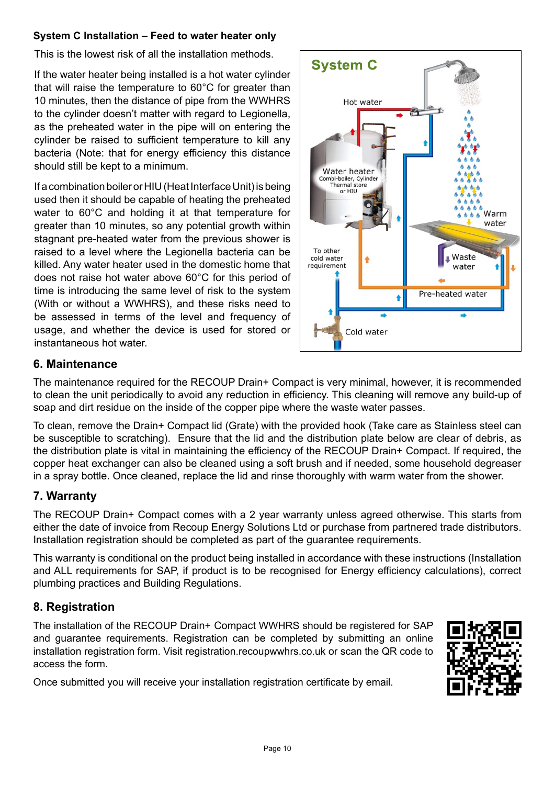### **System C Installation – Feed to water heater only**

This is the lowest risk of all the installation methods.

If the water heater being installed is a hot water cylinder that will raise the temperature to 60°C for greater than 10 minutes, then the distance of pipe from the WWHRS to the cylinder doesn't matter with regard to Legionella, as the preheated water in the pipe will on entering the cylinder be raised to sufficient temperature to kill any bacteria (Note: that for energy efficiency this distance should still be kept to a minimum.

If a combination boiler or HIU (Heat Interface Unit) is being used then it should be capable of heating the preheated water to 60°C and holding it at that temperature for greater than 10 minutes, so any potential growth within stagnant pre-heated water from the previous shower is raised to a level where the Legionella bacteria can be killed. Any water heater used in the domestic home that does not raise hot water above 60°C for this period of time is introducing the same level of risk to the system (With or without a WWHRS), and these risks need to be assessed in terms of the level and frequency of usage, and whether the device is used for stored or instantaneous hot water.



# **6. Maintenance**

The maintenance required for the RECOUP Drain+ Compact is very minimal, however, it is recommended to clean the unit periodically to avoid any reduction in efficiency. This cleaning will remove any build-up of soap and dirt residue on the inside of the copper pipe where the waste water passes.

To clean, remove the Drain+ Compact lid (Grate) with the provided hook (Take care as Stainless steel can be susceptible to scratching). Ensure that the lid and the distribution plate below are clear of debris, as the distribution plate is vital in maintaining the efficiency of the RECOUP Drain+ Compact. If required, the copper heat exchanger can also be cleaned using a soft brush and if needed, some household degreaser in a spray bottle. Once cleaned, replace the lid and rinse thoroughly with warm water from the shower.

# **7. Warranty**

The RECOUP Drain+ Compact comes with a 2 year warranty unless agreed otherwise. This starts from either the date of invoice from Recoup Energy Solutions Ltd or purchase from partnered trade distributors. Installation registration should be completed as part of the guarantee requirements.

This warranty is conditional on the product being installed in accordance with these instructions (Installation and ALL requirements for SAP, if product is to be recognised for Energy efficiency calculations), correct plumbing practices and Building Regulations.

# **8. Registration**

The installation of the RECOUP Drain+ Compact WWHRS should be registered for SAP and guarantee requirements. Registration can be completed by submitting an online installation registration form. Visit registration.recoupwwhrs.co.uk or scan the QR code to access the form.

Once submitted you will receive your installation registration certificate by email.